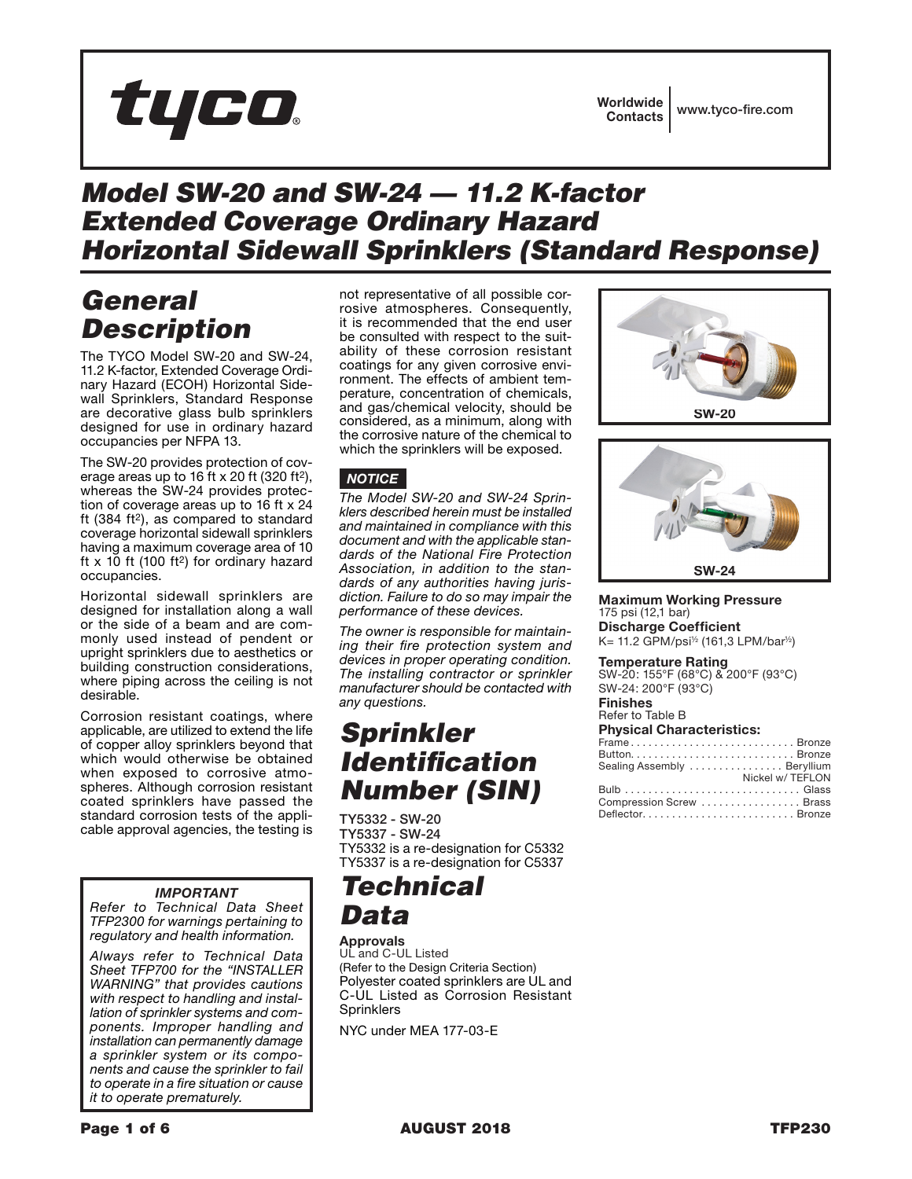# tyco.

# *Model SW-20 and SW-24 — 11.2 K-factor Extended Coverage Ordinary Hazard Horizontal Sidewall Sprinklers (Standard Response)*

# *General Description*

The TYCO Model SW-20 and SW-24, 11.2 K-factor, Extended Coverage Ordinary Hazard (ECOH) Horizontal Sidewall Sprinklers, Standard Response are decorative glass bulb sprinklers designed for use in ordinary hazard occupancies per NFPA 13.

The SW-20 provides protection of coverage areas up to 16 ft x 20 ft (320 ft2), whereas the SW-24 provides protection of coverage areas up to 16 ft x 24 ft  $(384 \text{ ft}^2)$ , as compared to standard coverage horizontal sidewall sprinklers having a maximum coverage area of 10 ft  $x$  10 ft (100 ft<sup>2</sup>) for ordinary hazard occupancies.

Horizontal sidewall sprinklers are designed for installation along a wall or the side of a beam and are commonly used instead of pendent or upright sprinklers due to aesthetics or building construction considerations, where piping across the ceiling is not desirable.

Corrosion resistant coatings, where applicable, are utilized to extend the life of copper alloy sprinklers beyond that which would otherwise be obtained when exposed to corrosive atmospheres. Although corrosion resistant coated sprinklers have passed the standard corrosion tests of the applicable approval agencies, the testing is

### *IMPORTANT*

*Refer to Technical Data Sheet TFP2300 for warnings pertaining to regulatory and health information.*

*Always refer to Technical Data Sheet TFP700 for the "INSTALLER WARNING" that provides cautions with respect to handling and installation of sprinkler systems and components. Improper handling and installation can permanently damage a sprinkler system or its components and cause the sprinkler to fail to operate in a fire situation or cause it to operate prematurely.*

not representative of all possible corrosive atmospheres. Consequently, it is recommended that the end user be consulted with respect to the suitability of these corrosion resistant coatings for any given corrosive environment. The effects of ambient temperature, concentration of chemicals, and gas/chemical velocity, should be considered, as a minimum, along with the corrosive nature of the chemical to which the sprinklers will be exposed.

### *NOTICE*

*The Model SW-20 and SW-24 Sprinklers described herein must be installed and maintained in compliance with this document and with the applicable standards of the National Fire Protection Association, in addition to the standards of any authorities having jurisdiction. Failure to do so may impair the performance of these devices.*

*The owner is responsible for maintaining their fire protection system and devices in proper operating condition. The installing contractor or sprinkler manufacturer should be contacted with any questions.*

# *Sprinkler Identification Number (SIN)*

TY5332 - SW-20 TY5337 - SW-24 TY5332 is a re-designation for C5332 TY5337 is a re-designation for C5337

# *Technical Data*

### Approvals

UL and C-UL Listed (Refer to the Design Criteria Section) Polyester coated sprinklers are UL and C-UL Listed as Corrosion Resistant **Sprinklers** 

NYC under MEA 177-03-E





### Maximum Working Pressure 175 psi (12,1 bar) Discharge Coefficient

K= 11.2 GPM/psi½ (161,3 LPM/bar½)

### Temperature Rating

SW-20: 155°F (68°C) & 200°F (93°C) SW-24: 200°F (93°C)

#### Finishes Refer to Table B

|  | <b>Physical Characteristics:</b> |  |  |  |  |  |
|--|----------------------------------|--|--|--|--|--|
|  |                                  |  |  |  |  |  |

| FrameBronze                 |
|-----------------------------|
|                             |
| Sealing Assembly  Beryllium |
| Nickel w/ TEFLON            |
|                             |
| Compression Screw  Brass    |
| DeflectorBronze             |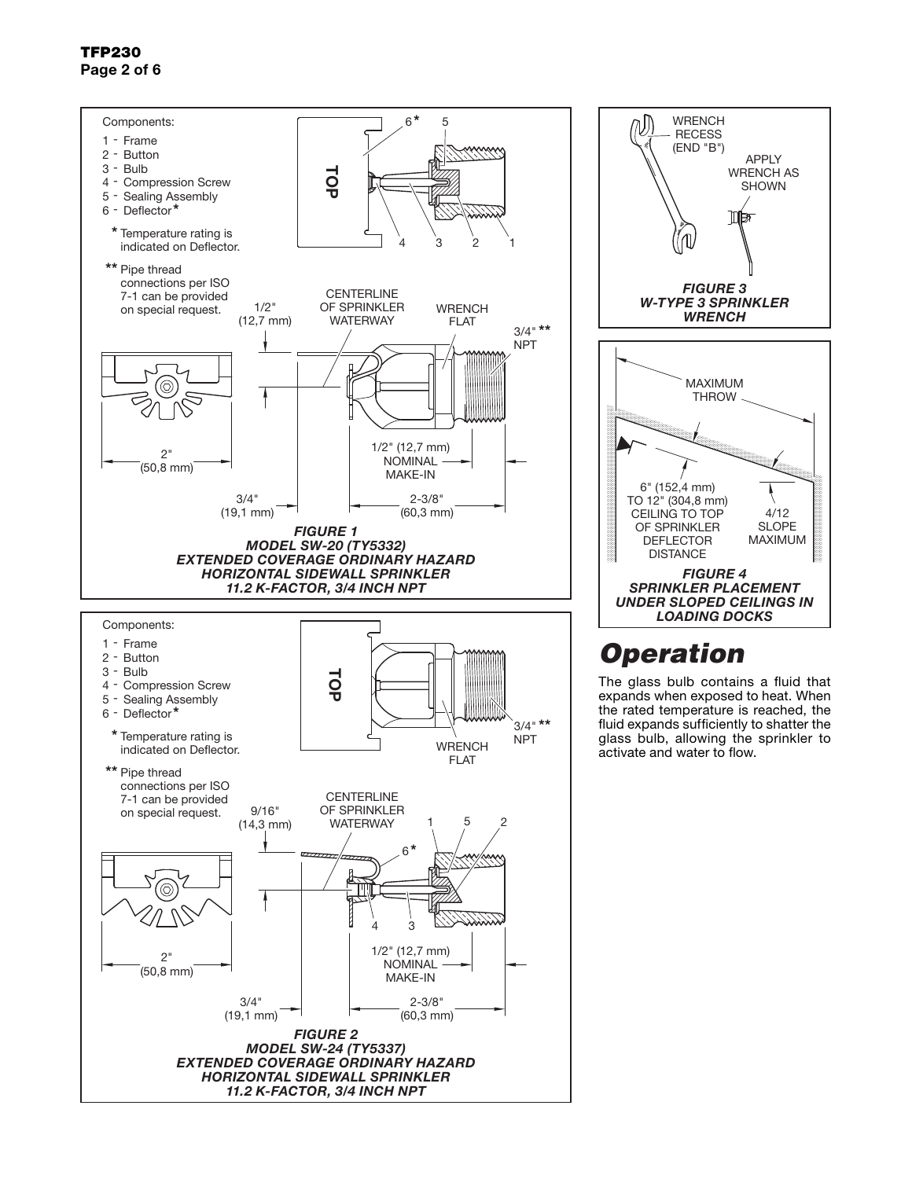### TFP230 Page 2 of 6





# *Operation*

The glass bulb contains a fluid that expands when exposed to heat. When the rated temperature is reached, the fluid expands sufficiently to shatter the glass bulb, allowing the sprinkler to activate and water to flow.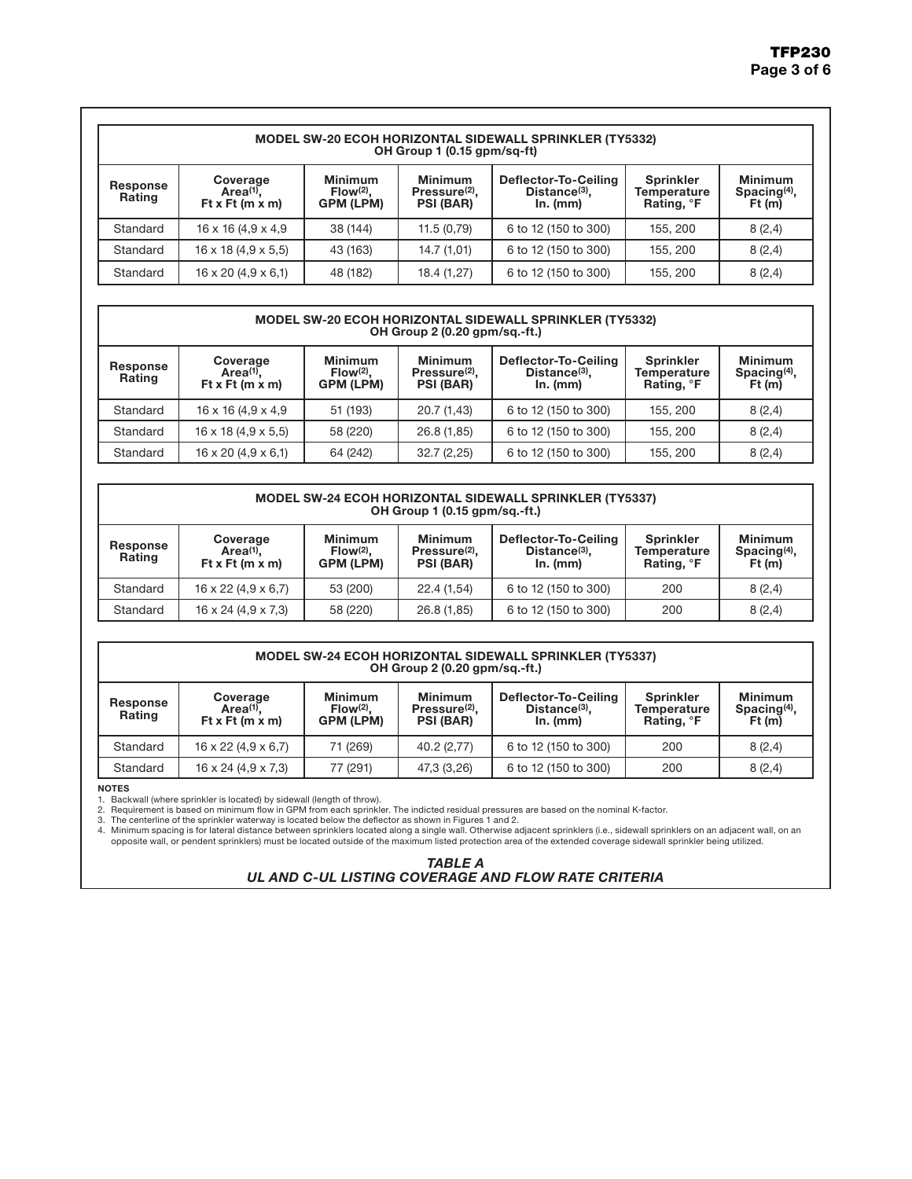| <b>MODEL SW-20 ECOH HORIZONTAL SIDEWALL SPRINKLER (TY5332)</b><br>OH Group 1 (0.15 gpm/sq-ft) |                                                        |                                            |                                                                 |                                                               |                                                           |                                            |  |  |  |  |
|-----------------------------------------------------------------------------------------------|--------------------------------------------------------|--------------------------------------------|-----------------------------------------------------------------|---------------------------------------------------------------|-----------------------------------------------------------|--------------------------------------------|--|--|--|--|
| Response<br>Rating                                                                            | Coverage<br>Area <sup>(1)</sup> .<br>Ft x Ft $(m x m)$ | <b>Minimum</b><br>$Flow(2)$ .<br>GPM (LPM) | <b>Minimum</b><br>Pressure <sup>(2)</sup> .<br><b>PSI (BAR)</b> | Deflector-To-Ceiling<br>Distance <sup>(3)</sup> ,<br>In. (mm) | <b>Sprinkler</b><br>Temperature<br>Rating, <sup>o</sup> F | <b>Minimum</b><br>Spacing $(4)$ ,<br>Ft(m) |  |  |  |  |
| Standard                                                                                      | $16 \times 16$ (4,9 $\times$ 4,9                       | 38 (144)                                   | 11.5(0.79)                                                      | 6 to 12 (150 to 300)                                          | 155, 200                                                  | 8(2,4)                                     |  |  |  |  |
| Standard                                                                                      | $16 \times 18$ (4,9 $\times$ 5,5)                      | 43 (163)                                   | 14.7(1,01)                                                      | 6 to 12 (150 to 300)                                          | 155, 200                                                  | 8(2,4)                                     |  |  |  |  |
| Standard                                                                                      | $16 \times 20$ (4,9 $\times$ 6,1)                      | 48 (182)                                   | 18.4 (1,27)                                                     | 6 to 12 (150 to 300)                                          | 155, 200                                                  | 8(2,4)                                     |  |  |  |  |

### MODEL SW-20 ECOH HORIZONTAL SIDEWALL SPRINKLER (TY5332) OH Group 2 (0.20 gpm/sq.-ft.)

| Response<br><b>Rating</b> | Coverage<br>$Area(1)$ .<br>Ft x Ft ( $m \times m$ ) | <b>Minimum</b><br>$Flow(2)$ .<br><b>GPM (LPM)</b> | <b>Minimum</b><br>Pressure <sup>(2)</sup> .<br><b>PSI (BAR)</b> | Deflector-To-Ceiling<br>$Distance(3)$ .<br>In. (mm) | <b>Sprinkler</b><br>Temperature<br>Rating, <sup>o</sup> F | <b>Minimum</b><br>Spacing <sup>(4)</sup> ,<br>Ft(m) |
|---------------------------|-----------------------------------------------------|---------------------------------------------------|-----------------------------------------------------------------|-----------------------------------------------------|-----------------------------------------------------------|-----------------------------------------------------|
| Standard                  | $16 \times 16$ (4,9 $\times$ 4,9                    | 51 (193)                                          | 20.7 (1,43)                                                     | 6 to 12 (150 to 300)                                | 155, 200                                                  | 8(2,4)                                              |
| Standard                  | $16 \times 18$ (4,9 $\times$ 5,5)                   | 58 (220)                                          | 26.8 (1,85)                                                     | 6 to 12 (150 to 300)                                | 155, 200                                                  | 8(2,4)                                              |
| Standard                  | $16 \times 20$ (4,9 $\times$ 6,1)                   | 64 (242)                                          | 32.7(2,25)                                                      | 6 to 12 (150 to 300)                                | 155, 200                                                  | 8(2,4)                                              |

| <b>MODEL SW-24 ECOH HORIZONTAL SIDEWALL SPRINKLER (TY5337)</b><br>OH Group 1 (0.15 gpm/sg.-ft.)                                                                                                                                                                                                                                                                                      |                                   |          |             |                      |     |        |  |  |  |  |
|--------------------------------------------------------------------------------------------------------------------------------------------------------------------------------------------------------------------------------------------------------------------------------------------------------------------------------------------------------------------------------------|-----------------------------------|----------|-------------|----------------------|-----|--------|--|--|--|--|
| <b>Minimum</b><br><b>Minimum</b><br><b>Minimum</b><br>Deflector-To-Ceiling<br><b>Sprinkler</b><br>Coverage<br>Response<br>Distance <sup>(3)</sup> .<br>Spacing $(4)$ ,<br>$Area(1)$ .<br>$Flow(2)$ .<br>Pressure <sup>(2)</sup> .<br>Temperature<br><b>Rating</b><br>Ft x Ft ( $m \times m$ )<br><b>GPM (LPM)</b><br><b>PSI (BAR)</b><br>Rating, <sup>o</sup> F<br>Ft(m)<br>In. (mm) |                                   |          |             |                      |     |        |  |  |  |  |
| Standard                                                                                                                                                                                                                                                                                                                                                                             | $16 \times 22$ (4,9 $\times$ 6,7) | 53 (200) | 22.4 (1,54) | 6 to 12 (150 to 300) | 200 | 8(2,4) |  |  |  |  |
| Standard                                                                                                                                                                                                                                                                                                                                                                             | $16 \times 24$ (4,9 $\times$ 7,3) | 58 (220) | 26.8 (1,85) | 6 to 12 (150 to 300) | 200 | 8(2,4) |  |  |  |  |

### MODEL SW-24 ECOH HORIZONTAL SIDEWALL SPRINKLER (TY5337) OH Group 2 (0.20 gpm/sq.-ft.)

| Response<br><b>Rating</b> | Coverage<br>$Area(1)$ .<br>Ft x Ft ( $m \times m$ ) | <b>Minimum</b><br>Flow <sup>(2)</sup><br><b>GPM (LPM)</b> | <b>Minimum</b><br>Pressure <sup>(2)</sup> .<br><b>PSI (BAR)</b> | Deflector-To-Ceiling<br>$Distance(3)$ .<br>In. (mm) | <b>Sprinkler</b><br>Temperature<br>Rating, <sup>o</sup> F | <b>Minimum</b><br>Spacing $(4)$ ,<br>Ft(m) |
|---------------------------|-----------------------------------------------------|-----------------------------------------------------------|-----------------------------------------------------------------|-----------------------------------------------------|-----------------------------------------------------------|--------------------------------------------|
| Standard                  | $16 \times 22$ (4,9 $\times$ 6,7)                   | 71 (269)                                                  | 40.2 (2,77)                                                     | 6 to 12 (150 to 300)                                | 200                                                       | 8(2,4)                                     |
| Standard                  | $16 \times 24$ (4,9 $\times$ 7,3)                   | 77 (291)                                                  | 47,3 (3,26)                                                     | 6 to 12 (150 to 300)                                | 200                                                       | 8(2,4)                                     |

NOTES

1. Backwall (where sprinkler is located) by sidewall (length of throw). 2. Requirement is based on minimum flow in GPM from each sprinkler. The indicted residual pressures are based on the nominal K-factor.

3. The centerline of the sprinkler waterway is located below the deflector as shown in Figures 1 and 2.<br>4. Minimum spacing is for lateral distance between sprinklers located along a single wall. Otherwise adjacent our<br>oppo

*TABLE A UL AND C-UL LISTING COVERAGE AND FLOW RATE CRITERIA*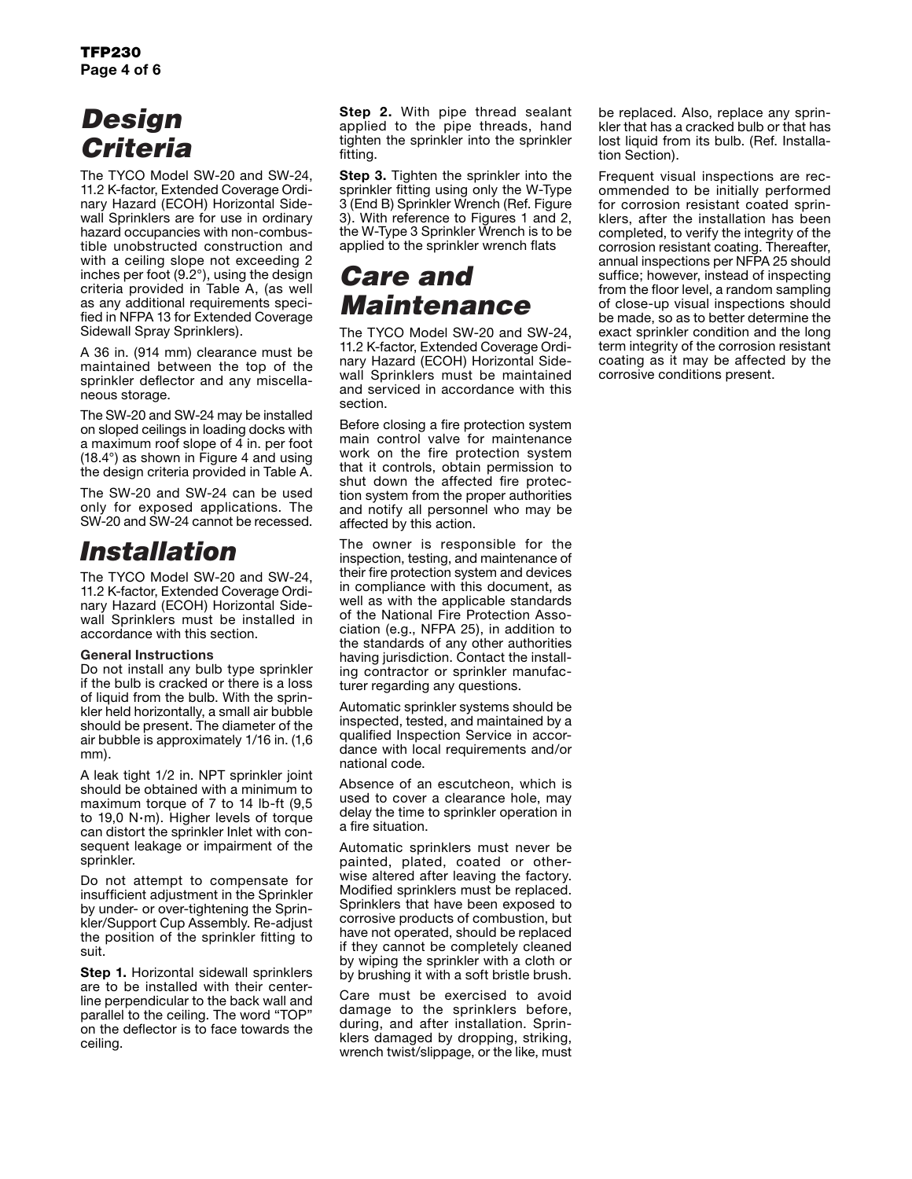# *Design Criteria*

The TYCO Model SW-20 and SW-24, 11.2 K-factor, Extended Coverage Ordinary Hazard (ECOH) Horizontal Sidewall Sprinklers are for use in ordinary hazard occupancies with non-combustible unobstructed construction and with a ceiling slope not exceeding 2 inches per foot (9.2°), using the design criteria provided in Table A, (as well as any additional requirements specified in NFPA 13 for Extended Coverage Sidewall Spray Sprinklers).

A 36 in. (914 mm) clearance must be maintained between the top of the sprinkler deflector and any miscellaneous storage.

The SW-20 and SW-24 may be installed on sloped ceilings in loading docks with a maximum roof slope of 4 in. per foot (18.4°) as shown in Figure 4 and using the design criteria provided in Table A.

The SW-20 and SW-24 can be used only for exposed applications. The SW-20 and SW-24 cannot be recessed.

### *Installation*

The TYCO Model SW-20 and SW-24, 11.2 K-factor, Extended Coverage Ordinary Hazard (ECOH) Horizontal Sidewall Sprinklers must be installed in accordance with this section.

### General Instructions

Do not install any bulb type sprinkler if the bulb is cracked or there is a loss of liquid from the bulb. With the sprinkler held horizontally, a small air bubble should be present. The diameter of the air bubble is approximately 1/16 in. (1,6 mm).

A leak tight 1/2 in. NPT sprinkler joint should be obtained with a minimum to maximum torque of 7 to 14 lb-ft (9,5 to 19,0 N·m). Higher levels of torque can distort the sprinkler Inlet with consequent leakage or impairment of the sprinkler.

Do not attempt to compensate for insufficient adjustment in the Sprinkler by under- or over-tightening the Sprinkler/Support Cup Assembly. Re-adjust the position of the sprinkler fitting to suit.

Step 1. Horizontal sidewall sprinklers are to be installed with their centerline perpendicular to the back wall and parallel to the ceiling. The word "TOP" on the deflector is to face towards the ceiling.

Step 2. With pipe thread sealant applied to the pipe threads, hand tighten the sprinkler into the sprinkler fitting.

**Step 3.** Tighten the sprinkler into the sprinkler fitting using only the W-Type 3 (End B) Sprinkler Wrench (Ref. Figure 3). With reference to Figures 1 and 2, the W-Type 3 Sprinkler Wrench is to be applied to the sprinkler wrench flats

# *Care and Maintenance*

The TYCO Model SW-20 and SW-24, 11.2 K-factor, Extended Coverage Ordinary Hazard (ECOH) Horizontal Sidewall Sprinklers must be maintained and serviced in accordance with this section.

Before closing a fire protection system main control valve for maintenance work on the fire protection system that it controls, obtain permission to shut down the affected fire protection system from the proper authorities and notify all personnel who may be affected by this action.

The owner is responsible for the inspection, testing, and maintenance of their fire protection system and devices in compliance with this document, as well as with the applicable standards of the National Fire Protection Association (e.g., NFPA 25), in addition to the standards of any other authorities having jurisdiction. Contact the installing contractor or sprinkler manufacturer regarding any questions.

Automatic sprinkler systems should be inspected, tested, and maintained by a qualified Inspection Service in accordance with local requirements and/or national code.

Absence of an escutcheon, which is used to cover a clearance hole, may delay the time to sprinkler operation in a fire situation.

Automatic sprinklers must never be painted, plated, coated or otherwise altered after leaving the factory. Modified sprinklers must be replaced. Sprinklers that have been exposed to corrosive products of combustion, but have not operated, should be replaced if they cannot be completely cleaned by wiping the sprinkler with a cloth or by brushing it with a soft bristle brush.

Care must be exercised to avoid damage to the sprinklers before, during, and after installation. Sprinklers damaged by dropping, striking, wrench twist/slippage, or the like, must be replaced. Also, replace any sprinkler that has a cracked bulb or that has lost liquid from its bulb. (Ref. Installation Section).

Frequent visual inspections are recommended to be initially performed for corrosion resistant coated sprinklers, after the installation has been completed, to verify the integrity of the corrosion resistant coating. Thereafter, annual inspections per NFPA 25 should suffice; however, instead of inspecting from the floor level, a random sampling of close-up visual inspections should be made, so as to better determine the exact sprinkler condition and the long term integrity of the corrosion resistant coating as it may be affected by the corrosive conditions present.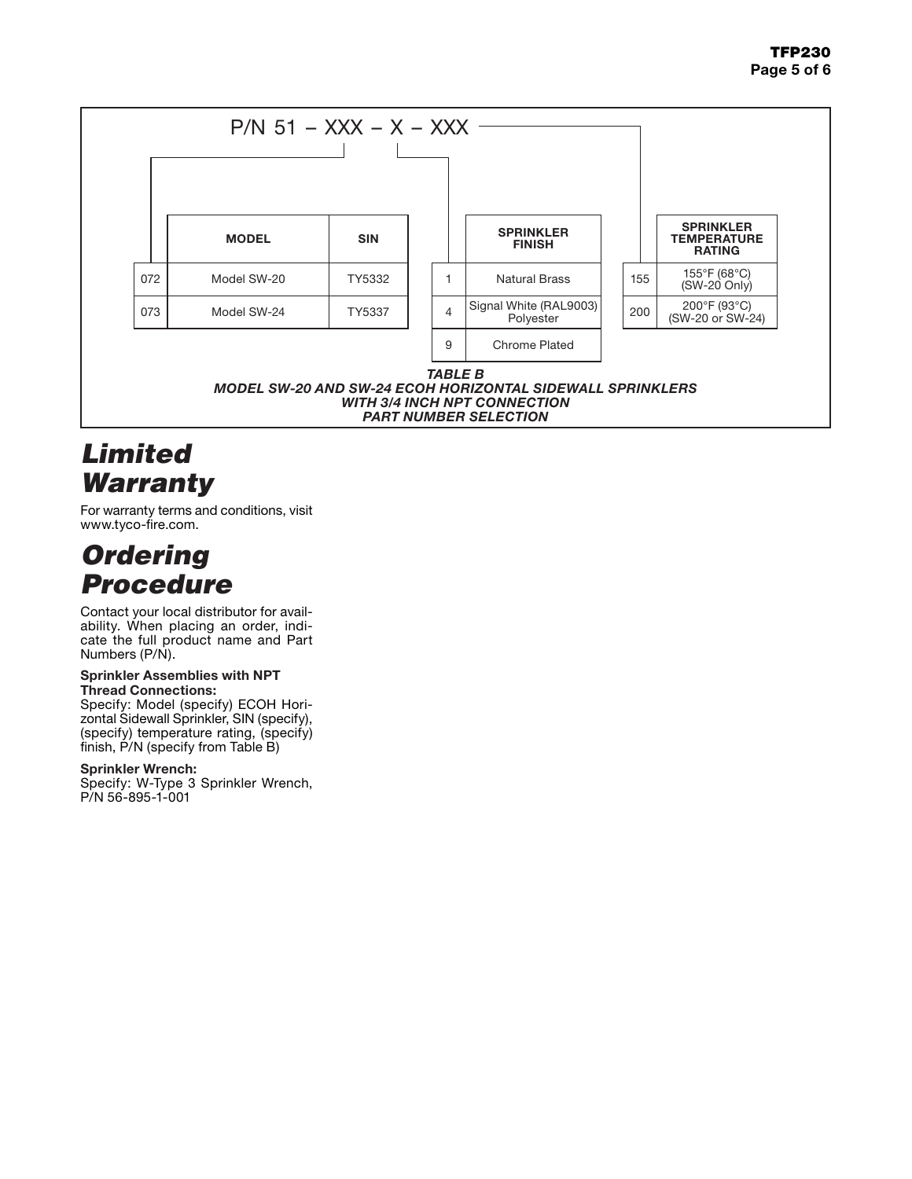

# *Limited Warranty*

For warranty terms and conditions, visit www.tyco-fire.com.

# *Ordering Procedure*

Contact your local distributor for availability. When placing an order, indicate the full product name and Part Numbers (P/N).

#### Sprinkler Assemblies with NPT Thread Connections:

Specify: Model (specify) ECOH Horizontal Sidewall Sprinkler, SIN (specify), (specify) temperature rating, (specify)  $f$ inish,  $P/N$  (specify from Table B)

### Sprinkler Wrench:

Specify: W-Type 3 Sprinkler Wrench, P/N 56-895-1-001